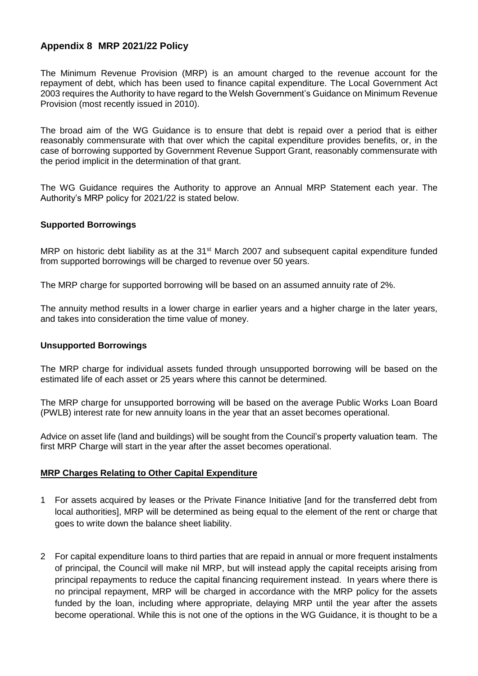## **Appendix 8 MRP 2021/22 Policy**

The Minimum Revenue Provision (MRP) is an amount charged to the revenue account for the repayment of debt, which has been used to finance capital expenditure. The Local Government Act 2003 requires the Authority to have regard to the Welsh Government's Guidance on Minimum Revenue Provision (most recently issued in 2010).

The broad aim of the WG Guidance is to ensure that debt is repaid over a period that is either reasonably commensurate with that over which the capital expenditure provides benefits, or, in the case of borrowing supported by Government Revenue Support Grant, reasonably commensurate with the period implicit in the determination of that grant.

The WG Guidance requires the Authority to approve an Annual MRP Statement each year. The Authority's MRP policy for 2021/22 is stated below.

## **Supported Borrowings**

MRP on historic debt liability as at the 31<sup>st</sup> March 2007 and subsequent capital expenditure funded from supported borrowings will be charged to revenue over 50 years.

The MRP charge for supported borrowing will be based on an assumed annuity rate of 2%.

The annuity method results in a lower charge in earlier years and a higher charge in the later years, and takes into consideration the time value of money.

## **Unsupported Borrowings**

The MRP charge for individual assets funded through unsupported borrowing will be based on the estimated life of each asset or 25 years where this cannot be determined.

The MRP charge for unsupported borrowing will be based on the average Public Works Loan Board (PWLB) interest rate for new annuity loans in the year that an asset becomes operational.

Advice on asset life (land and buildings) will be sought from the Council's property valuation team. The first MRP Charge will start in the year after the asset becomes operational.

## **MRP Charges Relating to Other Capital Expenditure**

- 1 For assets acquired by leases or the Private Finance Initiative [and for the transferred debt from local authorities], MRP will be determined as being equal to the element of the rent or charge that goes to write down the balance sheet liability.
- 2 For capital expenditure loans to third parties that are repaid in annual or more frequent instalments of principal, the Council will make nil MRP, but will instead apply the capital receipts arising from principal repayments to reduce the capital financing requirement instead. In years where there is no principal repayment, MRP will be charged in accordance with the MRP policy for the assets funded by the loan, including where appropriate, delaying MRP until the year after the assets become operational. While this is not one of the options in the WG Guidance, it is thought to be a